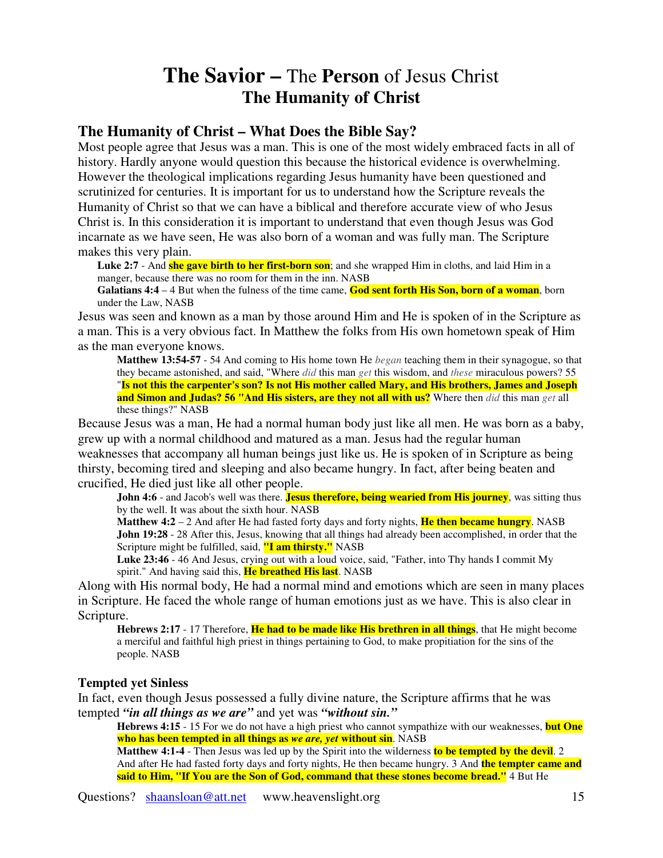## **The Savior –** The **Person** of Jesus Christ **The Humanity of Christ**

## **The Humanity of Christ – What Does the Bible Say?**

Most people agree that Jesus was a man. This is one of the most widely embraced facts in all of history. Hardly anyone would question this because the historical evidence is overwhelming. However the theological implications regarding Jesus humanity have been questioned and scrutinized for centuries. It is important for us to understand how the Scripture reveals the Humanity of Christ so that we can have a biblical and therefore accurate view of who Jesus Christ is. In this consideration it is important to understand that even though Jesus was God incarnate as we have seen, He was also born of a woman and was fully man. The Scripture makes this very plain.

**Luke 2:7** - And **she gave birth to her first-born son**; and she wrapped Him in cloths, and laid Him in a manger, because there was no room for them in the inn. NASB

**Galatians 4:4** – 4 But when the fulness of the time came, **God sent forth His Son, born of a woman**, born under the Law, NASB

Jesus was seen and known as a man by those around Him and He is spoken of in the Scripture as a man. This is a very obvious fact. In Matthew the folks from His own hometown speak of Him as the man everyone knows.

**Matthew 13:54-57** - 54 And coming to His home town He *began* teaching them in their synagogue, so that they became astonished, and said, "Where *did* this man *get* this wisdom, and *these* miraculous powers? 55 "Is not this the carpenter's son? Is not His mother called Mary, and His brothers, James and Joseph **and Simon and Judas? 56 "And His sisters, are they not all with us?** Where then *did* this man *get* all these things?" NASB

Because Jesus was a man, He had a normal human body just like all men. He was born as a baby, grew up with a normal childhood and matured as a man. Jesus had the regular human weaknesses that accompany all human beings just like us. He is spoken of in Scripture as being thirsty, becoming tired and sleeping and also became hungry. In fact, after being beaten and crucified, He died just like all other people.

**John 4:6** - and Jacob's well was there. **Jesus therefore, being wearied from His journey**, was sitting thus by the well. It was about the sixth hour. NASB

**Matthew 4:2** – 2 And after He had fasted forty days and forty nights, **He then became hungry**. NASB **John 19:28** - 28 After this, Jesus, knowing that all things had already been accomplished, in order that the Scripture might be fulfilled, said, **"I am thirsty."** NASB

**Luke 23:46** - 46 And Jesus, crying out with a loud voice, said, "Father, into Thy hands I commit My spirit." And having said this, **He breathed His last**. NASB

Along with His normal body, He had a normal mind and emotions which are seen in many places in Scripture. He faced the whole range of human emotions just as we have. This is also clear in Scripture.

**Hebrews 2:17** - 17 Therefore, **He had to be made like His brethren in all things**, that He might become a merciful and faithful high priest in things pertaining to God, to make propitiation for the sins of the people. NASB

## **Tempted yet Sinless**

In fact, even though Jesus possessed a fully divine nature, the Scripture affirms that he was tempted *"in all things as we are"* and yet was *"without sin."*

**Hebrews 4:15** - 15 For we do not have a high priest who cannot sympathize with our weaknesses, **but One who has been tempted in all things as** *we are, yet* **without sin**. NASB

**Matthew 4:1-4** - Then Jesus was led up by the Spirit into the wilderness **to be tempted by the devil**. 2 And after He had fasted forty days and forty nights, He then became hungry. 3 And **the tempter came and said to Him, "If You are the Son of God, command that these stones become bread."** 4 But He